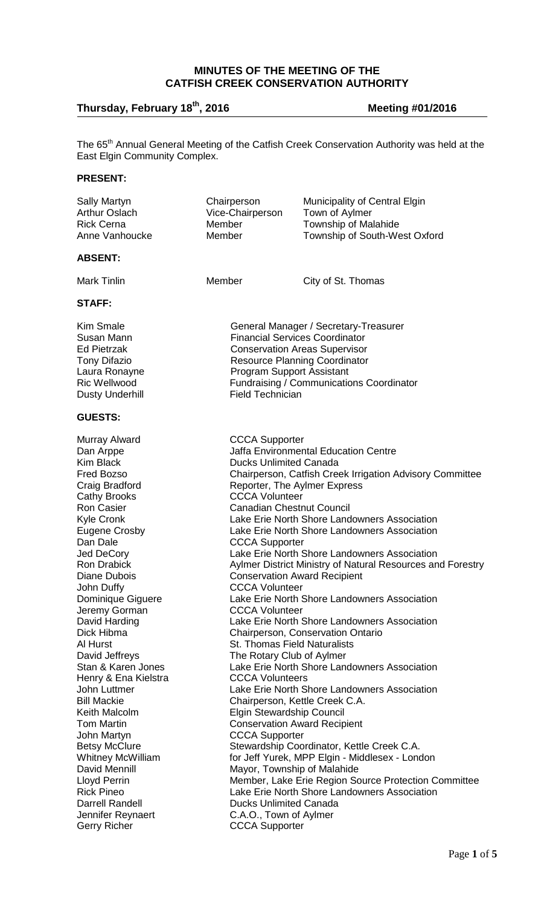## **MINUTES OF THE MEETING OF THE CATFISH CREEK CONSERVATION AUTHORITY**

# **Thursday, February 18th , 2016 Meeting #01/2016**

The 65<sup>th</sup> Annual General Meeting of the Catfish Creek Conservation Authority was held at the East Elgin Community Complex.

## **PRESENT:**

| <b>Sally Martyn</b><br><b>Arthur Oslach</b><br><b>Rick Cerna</b><br>Anne Vanhoucke                                                                                                                                                                                                                                                                                                                                                                                                                                                                                                                                                                  | Chairperson<br>Vice-Chairperson<br>Member<br>Member                                                                                                                                                                                                                                                                                                                                                                  | Municipality of Central Elgin<br>Town of Aylmer<br><b>Township of Malahide</b><br>Township of South-West Oxford                                                                                                                                                                                                                                                                                                                                                                                                                                                                                                                                                                                                                                                                                                                                                                                                                                   |
|-----------------------------------------------------------------------------------------------------------------------------------------------------------------------------------------------------------------------------------------------------------------------------------------------------------------------------------------------------------------------------------------------------------------------------------------------------------------------------------------------------------------------------------------------------------------------------------------------------------------------------------------------------|----------------------------------------------------------------------------------------------------------------------------------------------------------------------------------------------------------------------------------------------------------------------------------------------------------------------------------------------------------------------------------------------------------------------|---------------------------------------------------------------------------------------------------------------------------------------------------------------------------------------------------------------------------------------------------------------------------------------------------------------------------------------------------------------------------------------------------------------------------------------------------------------------------------------------------------------------------------------------------------------------------------------------------------------------------------------------------------------------------------------------------------------------------------------------------------------------------------------------------------------------------------------------------------------------------------------------------------------------------------------------------|
| <b>ABSENT:</b>                                                                                                                                                                                                                                                                                                                                                                                                                                                                                                                                                                                                                                      |                                                                                                                                                                                                                                                                                                                                                                                                                      |                                                                                                                                                                                                                                                                                                                                                                                                                                                                                                                                                                                                                                                                                                                                                                                                                                                                                                                                                   |
| <b>Mark Tinlin</b>                                                                                                                                                                                                                                                                                                                                                                                                                                                                                                                                                                                                                                  | Member                                                                                                                                                                                                                                                                                                                                                                                                               | City of St. Thomas                                                                                                                                                                                                                                                                                                                                                                                                                                                                                                                                                                                                                                                                                                                                                                                                                                                                                                                                |
| STAFF:                                                                                                                                                                                                                                                                                                                                                                                                                                                                                                                                                                                                                                              |                                                                                                                                                                                                                                                                                                                                                                                                                      |                                                                                                                                                                                                                                                                                                                                                                                                                                                                                                                                                                                                                                                                                                                                                                                                                                                                                                                                                   |
| <b>Kim Smale</b><br>Susan Mann<br><b>Ed Pietrzak</b><br><b>Tony Difazio</b><br>Laura Ronayne<br><b>Ric Wellwood</b><br><b>Dusty Underhill</b>                                                                                                                                                                                                                                                                                                                                                                                                                                                                                                       | General Manager / Secretary-Treasurer<br><b>Financial Services Coordinator</b><br><b>Conservation Areas Supervisor</b><br><b>Resource Planning Coordinator</b><br><b>Program Support Assistant</b><br>Fundraising / Communications Coordinator<br><b>Field Technician</b>                                                                                                                                            |                                                                                                                                                                                                                                                                                                                                                                                                                                                                                                                                                                                                                                                                                                                                                                                                                                                                                                                                                   |
| <b>GUESTS:</b>                                                                                                                                                                                                                                                                                                                                                                                                                                                                                                                                                                                                                                      |                                                                                                                                                                                                                                                                                                                                                                                                                      |                                                                                                                                                                                                                                                                                                                                                                                                                                                                                                                                                                                                                                                                                                                                                                                                                                                                                                                                                   |
| Murray Alward<br>Dan Arppe<br><b>Kim Black</b><br>Fred Bozso<br>Craig Bradford<br><b>Cathy Brooks</b><br><b>Ron Casier</b><br>Kyle Cronk<br><b>Eugene Crosby</b><br>Dan Dale<br>Jed DeCory<br><b>Ron Drabick</b><br>Diane Dubois<br>John Duffy<br>Dominique Giguere<br>Jeremy Gorman<br>David Harding<br>Dick Hibma<br>Al Hurst<br>David Jeffreys<br>Stan & Karen Jones<br>Henry & Ena Kielstra<br>John Luttmer<br><b>Bill Mackie</b><br>Keith Malcolm<br><b>Tom Martin</b><br>John Martyn<br><b>Betsy McClure</b><br>Whitney McWilliam<br>David Mennill<br><b>Lloyd Perrin</b><br><b>Rick Pineo</b><br><b>Darrell Randell</b><br>Jennifer Reynaert | <b>CCCA Supporter</b><br><b>Ducks Unlimited Canada</b><br><b>CCCA Volunteer</b><br><b>Canadian Chestnut Council</b><br><b>CCCA Supporter</b><br><b>CCCA Volunteer</b><br><b>CCCA Volunteer</b><br><b>St. Thomas Field Naturalists</b><br>The Rotary Club of Aylmer<br><b>CCCA Volunteers</b><br><b>Elgin Stewardship Council</b><br><b>CCCA Supporter</b><br><b>Ducks Unlimited Canada</b><br>C.A.O., Town of Aylmer | <b>Jaffa Environmental Education Centre</b><br>Chairperson, Catfish Creek Irrigation Advisory Committee<br>Reporter, The Aylmer Express<br>Lake Erie North Shore Landowners Association<br>Lake Erie North Shore Landowners Association<br>Lake Erie North Shore Landowners Association<br>Aylmer District Ministry of Natural Resources and Forestry<br><b>Conservation Award Recipient</b><br>Lake Erie North Shore Landowners Association<br>Lake Erie North Shore Landowners Association<br>Chairperson, Conservation Ontario<br>Lake Erie North Shore Landowners Association<br>Lake Erie North Shore Landowners Association<br>Chairperson, Kettle Creek C.A.<br><b>Conservation Award Recipient</b><br>Stewardship Coordinator, Kettle Creek C.A.<br>for Jeff Yurek, MPP Elgin - Middlesex - London<br>Mayor, Township of Malahide<br>Member, Lake Erie Region Source Protection Committee<br>Lake Erie North Shore Landowners Association |
| <b>Gerry Richer</b>                                                                                                                                                                                                                                                                                                                                                                                                                                                                                                                                                                                                                                 | <b>CCCA Supporter</b>                                                                                                                                                                                                                                                                                                                                                                                                |                                                                                                                                                                                                                                                                                                                                                                                                                                                                                                                                                                                                                                                                                                                                                                                                                                                                                                                                                   |
|                                                                                                                                                                                                                                                                                                                                                                                                                                                                                                                                                                                                                                                     |                                                                                                                                                                                                                                                                                                                                                                                                                      | $\mathbf{p}_{\mathbf{q}\alpha\mathbf{q}}\mathbf{1}$                                                                                                                                                                                                                                                                                                                                                                                                                                                                                                                                                                                                                                                                                                                                                                                                                                                                                               |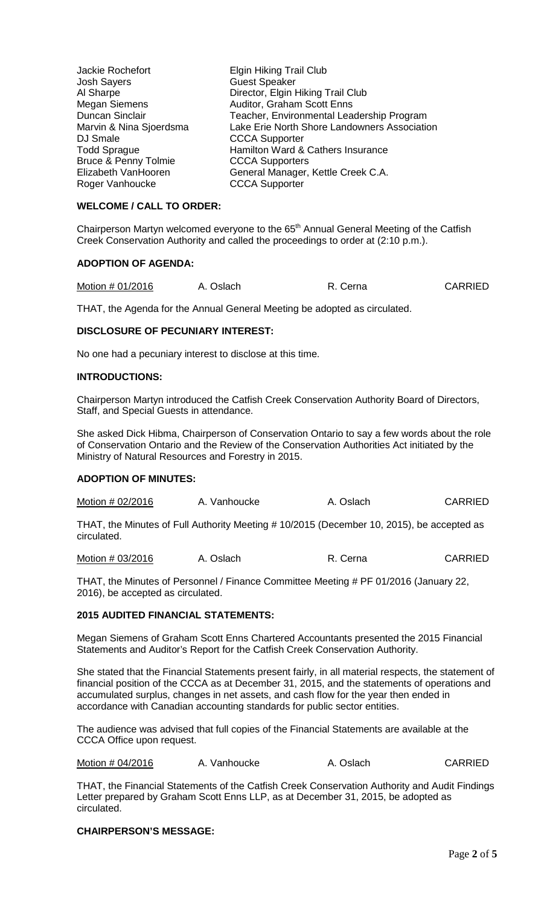| Jackie Rochefort                | <b>Elgin Hiking Trail Club</b>               |
|---------------------------------|----------------------------------------------|
| <b>Josh Sayers</b>              | <b>Guest Speaker</b>                         |
| Al Sharpe                       | Director, Elgin Hiking Trail Club            |
| <b>Megan Siemens</b>            | Auditor, Graham Scott Enns                   |
| Duncan Sinclair                 | Teacher, Environmental Leadership Program    |
| Marvin & Nina Sjoerdsma         | Lake Erie North Shore Landowners Association |
| DJ Smale                        | <b>CCCA Supporter</b>                        |
| <b>Todd Sprague</b>             | Hamilton Ward & Cathers Insurance            |
| <b>Bruce &amp; Penny Tolmie</b> | <b>CCCA Supporters</b>                       |
| Elizabeth VanHooren             | General Manager, Kettle Creek C.A.           |
| Roger Vanhoucke                 | <b>CCCA Supporter</b>                        |

## **WELCOME / CALL TO ORDER:**

Chairperson Martyn welcomed everyone to the  $65<sup>th</sup>$  Annual General Meeting of the Catfish Creek Conservation Authority and called the proceedings to order at (2:10 p.m.).

#### **ADOPTION OF AGENDA:**

| Motion # 01/2016 | A. Oslach | R. Cerna | <b>CARRIED</b> |
|------------------|-----------|----------|----------------|
|                  |           |          |                |

THAT, the Agenda for the Annual General Meeting be adopted as circulated.

## **DISCLOSURE OF PECUNIARY INTEREST:**

No one had a pecuniary interest to disclose at this time.

#### **INTRODUCTIONS:**

Chairperson Martyn introduced the Catfish Creek Conservation Authority Board of Directors, Staff, and Special Guests in attendance.

She asked Dick Hibma, Chairperson of Conservation Ontario to say a few words about the role of Conservation Ontario and the Review of the Conservation Authorities Act initiated by the Ministry of Natural Resources and Forestry in 2015.

## **ADOPTION OF MINUTES:**

Motion # 02/2016 A. Vanhoucke A. Oslach CARRIED

THAT, the Minutes of Full Authority Meeting # 10/2015 (December 10, 2015), be accepted as circulated.

Motion # 03/2016 A. Oslach R. Cerna CARRIED

THAT, the Minutes of Personnel / Finance Committee Meeting # PF 01/2016 (January 22, 2016), be accepted as circulated.

#### **2015 AUDITED FINANCIAL STATEMENTS:**

Megan Siemens of Graham Scott Enns Chartered Accountants presented the 2015 Financial Statements and Auditor's Report for the Catfish Creek Conservation Authority.

She stated that the Financial Statements present fairly, in all material respects, the statement of financial position of the CCCA as at December 31, 2015, and the statements of operations and accumulated surplus, changes in net assets, and cash flow for the year then ended in accordance with Canadian accounting standards for public sector entities.

The audience was advised that full copies of the Financial Statements are available at the CCCA Office upon request.

| Motion # 04/2016 | A. Vanhoucke | A. Oslach | <b>CARRIED</b> |
|------------------|--------------|-----------|----------------|
|------------------|--------------|-----------|----------------|

THAT, the Financial Statements of the Catfish Creek Conservation Authority and Audit Findings Letter prepared by Graham Scott Enns LLP, as at December 31, 2015, be adopted as circulated.

#### **CHAIRPERSON'S MESSAGE:**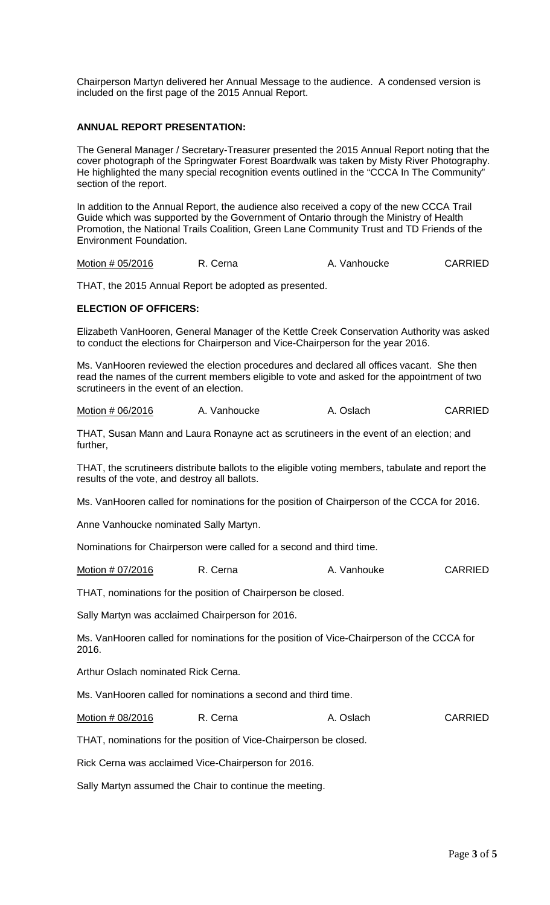Chairperson Martyn delivered her Annual Message to the audience. A condensed version is included on the first page of the 2015 Annual Report.

## **ANNUAL REPORT PRESENTATION:**

The General Manager / Secretary-Treasurer presented the 2015 Annual Report noting that the cover photograph of the Springwater Forest Boardwalk was taken by Misty River Photography. He highlighted the many special recognition events outlined in the "CCCA In The Community" section of the report.

In addition to the Annual Report, the audience also received a copy of the new CCCA Trail Guide which was supported by the Government of Ontario through the Ministry of Health Promotion, the National Trails Coalition, Green Lane Community Trust and TD Friends of the Environment Foundation.

Motion # 05/2016 R. Cerna A. Vanhoucke CARRIED

THAT, the 2015 Annual Report be adopted as presented.

#### **ELECTION OF OFFICERS:**

Elizabeth VanHooren, General Manager of the Kettle Creek Conservation Authority was asked to conduct the elections for Chairperson and Vice-Chairperson for the year 2016.

Ms. VanHooren reviewed the election procedures and declared all offices vacant. She then read the names of the current members eligible to vote and asked for the appointment of two scrutineers in the event of an election.

Motion # 06/2016 A. Vanhoucke A. Oslach CARRIED

THAT, Susan Mann and Laura Ronayne act as scrutineers in the event of an election; and further,

THAT, the scrutineers distribute ballots to the eligible voting members, tabulate and report the results of the vote, and destroy all ballots.

Ms. VanHooren called for nominations for the position of Chairperson of the CCCA for 2016.

Anne Vanhoucke nominated Sally Martyn.

Nominations for Chairperson were called for a second and third time.

Motion # 07/2016 R. Cerna A. Vanhouke CARRIED

THAT, nominations for the position of Chairperson be closed.

Sally Martyn was acclaimed Chairperson for 2016.

Ms. VanHooren called for nominations for the position of Vice-Chairperson of the CCCA for 2016.

Arthur Oslach nominated Rick Cerna.

Ms. VanHooren called for nominations a second and third time.

Motion # 08/2016 R. Cerna A. Oslach CARRIED

THAT, nominations for the position of Vice-Chairperson be closed.

Rick Cerna was acclaimed Vice-Chairperson for 2016.

Sally Martyn assumed the Chair to continue the meeting.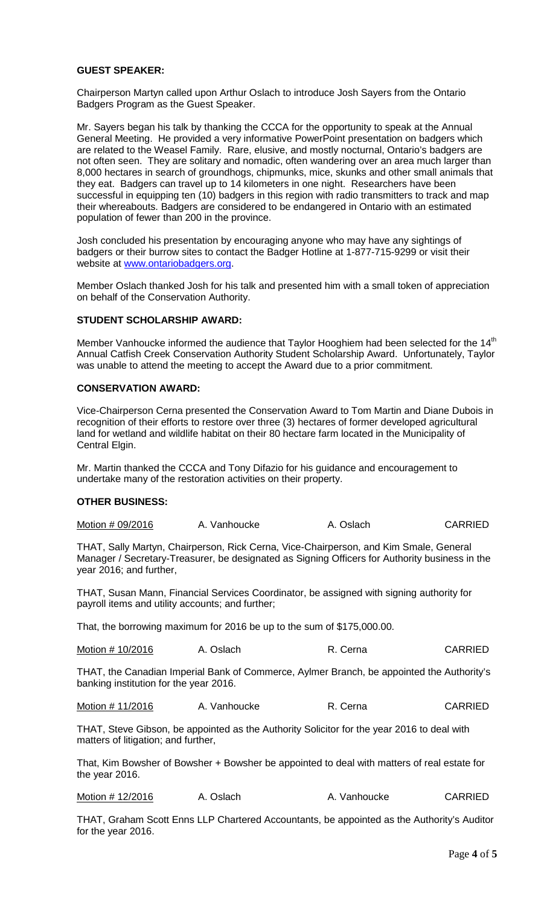## **GUEST SPEAKER:**

Chairperson Martyn called upon Arthur Oslach to introduce Josh Sayers from the Ontario Badgers Program as the Guest Speaker.

Mr. Sayers began his talk by thanking the CCCA for the opportunity to speak at the Annual General Meeting. He provided a very informative PowerPoint presentation on badgers which are related to the Weasel Family. Rare, elusive, and mostly nocturnal, Ontario's badgers are not often seen. They are solitary and nomadic, often wandering over an area much larger than 8,000 hectares in search of groundhogs, chipmunks, mice, skunks and other small animals that they eat. Badgers can travel up to 14 kilometers in one night. Researchers have been successful in equipping ten (10) badgers in this region with radio transmitters to track and map their whereabouts. Badgers are considered to be endangered in Ontario with an estimated population of fewer than 200 in the province.

Josh concluded his presentation by encouraging anyone who may have any sightings of badgers or their burrow sites to contact the Badger Hotline at 1-877-715-9299 or visit their website at [www.ontariobadgers.org.](http://www.ontariobadgers.org/)

Member Oslach thanked Josh for his talk and presented him with a small token of appreciation on behalf of the Conservation Authority.

## **STUDENT SCHOLARSHIP AWARD:**

Member Vanhoucke informed the audience that Taylor Hooghiem had been selected for the 14<sup>th</sup> Annual Catfish Creek Conservation Authority Student Scholarship Award. Unfortunately, Taylor was unable to attend the meeting to accept the Award due to a prior commitment.

## **CONSERVATION AWARD:**

Vice-Chairperson Cerna presented the Conservation Award to Tom Martin and Diane Dubois in recognition of their efforts to restore over three (3) hectares of former developed agricultural land for wetland and wildlife habitat on their 80 hectare farm located in the Municipality of Central Elgin.

Mr. Martin thanked the CCCA and Tony Difazio for his guidance and encouragement to undertake many of the restoration activities on their property.

#### **OTHER BUSINESS:**

| Motion # 09/2016 | A. Vanhoucke | A. Oslach | <b>CARRIED</b> |
|------------------|--------------|-----------|----------------|
|------------------|--------------|-----------|----------------|

THAT, Sally Martyn, Chairperson, Rick Cerna, Vice-Chairperson, and Kim Smale, General Manager / Secretary-Treasurer, be designated as Signing Officers for Authority business in the year 2016; and further,

THAT, Susan Mann, Financial Services Coordinator, be assigned with signing authority for payroll items and utility accounts; and further;

That, the borrowing maximum for 2016 be up to the sum of \$175,000.00.

| Motion # 10/2016<br>A. Oslach | R. Cerna | <b>CARRIED</b> |
|-------------------------------|----------|----------------|
|-------------------------------|----------|----------------|

THAT, the Canadian Imperial Bank of Commerce, Aylmer Branch, be appointed the Authority's banking institution for the year 2016.

Motion # 11/2016 A. Vanhoucke R. Cerna CARRIED

THAT, Steve Gibson, be appointed as the Authority Solicitor for the year 2016 to deal with matters of litigation; and further,

That, Kim Bowsher of Bowsher + Bowsher be appointed to deal with matters of real estate for the year 2016.

| Motion # 12/2016 | A. Oslach | A. Vanhoucke | <b>CARRIED</b> |
|------------------|-----------|--------------|----------------|
|                  |           |              |                |

THAT, Graham Scott Enns LLP Chartered Accountants, be appointed as the Authority's Auditor for the year 2016.